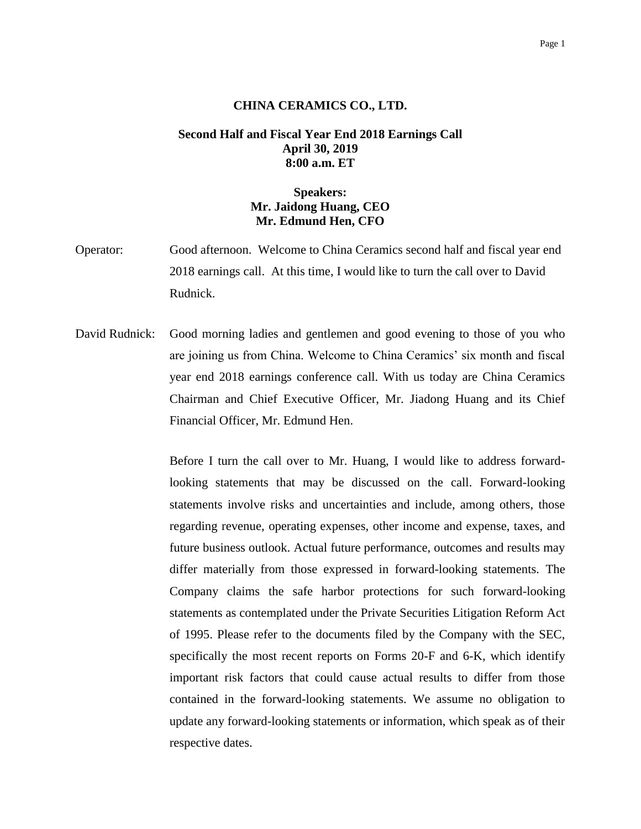## **CHINA CERAMICS CO., LTD.**

## **Second Half and Fiscal Year End 2018 Earnings Call April 30, 2019 8:00 a.m. ET**

## **Speakers: Mr. Jaidong Huang, CEO Mr. Edmund Hen, CFO**

- Operator: Good afternoon. Welcome to China Ceramics second half and fiscal year end 2018 earnings call. At this time, I would like to turn the call over to David Rudnick.
- David Rudnick: Good morning ladies and gentlemen and good evening to those of you who are joining us from China. Welcome to China Ceramics' six month and fiscal year end 2018 earnings conference call. With us today are China Ceramics Chairman and Chief Executive Officer, Mr. Jiadong Huang and its Chief Financial Officer, Mr. Edmund Hen.

Before I turn the call over to Mr. Huang, I would like to address forwardlooking statements that may be discussed on the call. Forward-looking statements involve risks and uncertainties and include, among others, those regarding revenue, operating expenses, other income and expense, taxes, and future business outlook. Actual future performance, outcomes and results may differ materially from those expressed in forward-looking statements. The Company claims the safe harbor protections for such forward-looking statements as contemplated under the Private Securities Litigation Reform Act of 1995. Please refer to the documents filed by the Company with the SEC, specifically the most recent reports on Forms 20-F and 6-K, which identify important risk factors that could cause actual results to differ from those contained in the forward-looking statements. We assume no obligation to update any forward-looking statements or information, which speak as of their respective dates.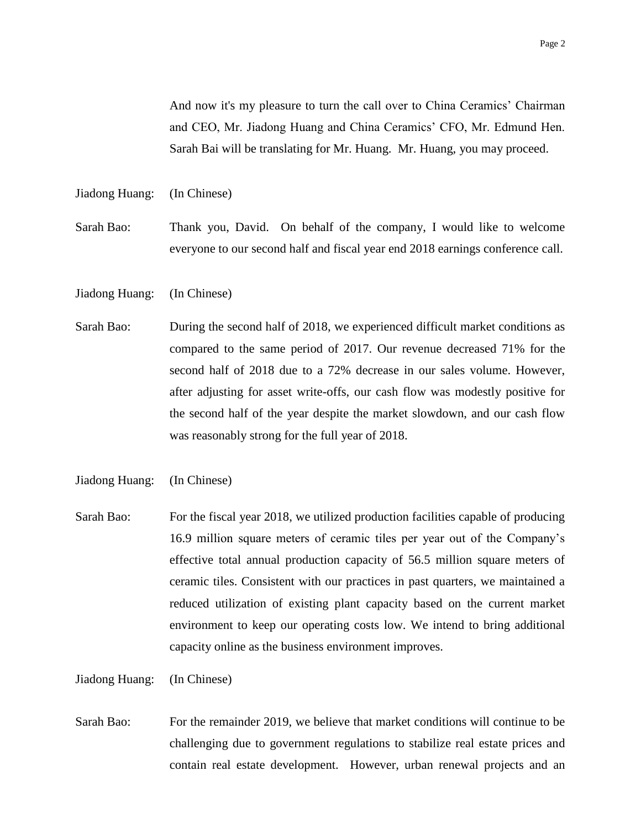And now it's my pleasure to turn the call over to China Ceramics' Chairman and CEO, Mr. Jiadong Huang and China Ceramics' CFO, Mr. Edmund Hen. Sarah Bai will be translating for Mr. Huang. Mr. Huang, you may proceed.

Jiadong Huang: (In Chinese)

Sarah Bao: Thank you, David. On behalf of the company, I would like to welcome everyone to our second half and fiscal year end 2018 earnings conference call.

Jiadong Huang: (In Chinese)

Sarah Bao: During the second half of 2018, we experienced difficult market conditions as compared to the same period of 2017. Our revenue decreased 71% for the second half of 2018 due to a 72% decrease in our sales volume. However, after adjusting for asset write-offs, our cash flow was modestly positive for the second half of the year despite the market slowdown, and our cash flow was reasonably strong for the full year of 2018.

Jiadong Huang: (In Chinese)

Sarah Bao: For the fiscal year 2018, we utilized production facilities capable of producing 16.9 million square meters of ceramic tiles per year out of the Company's effective total annual production capacity of 56.5 million square meters of ceramic tiles. Consistent with our practices in past quarters, we maintained a reduced utilization of existing plant capacity based on the current market environment to keep our operating costs low. We intend to bring additional capacity online as the business environment improves.

Jiadong Huang: (In Chinese)

Sarah Bao: For the remainder 2019, we believe that market conditions will continue to be challenging due to government regulations to stabilize real estate prices and contain real estate development. However, urban renewal projects and an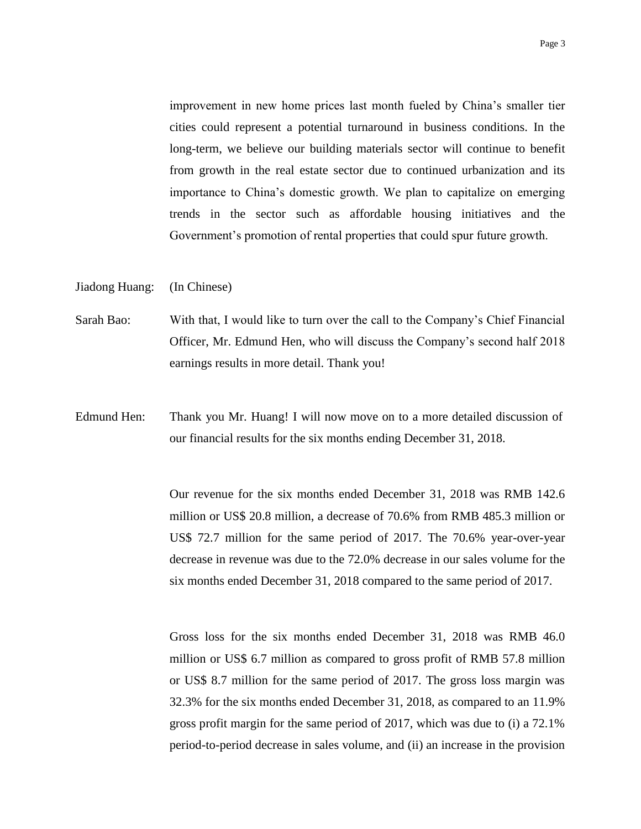improvement in new home prices last month fueled by China's smaller tier cities could represent a potential turnaround in business conditions. In the long-term, we believe our building materials sector will continue to benefit from growth in the real estate sector due to continued urbanization and its importance to China's domestic growth. We plan to capitalize on emerging trends in the sector such as affordable housing initiatives and the Government's promotion of rental properties that could spur future growth.

## Jiadong Huang: (In Chinese)

- Sarah Bao: With that, I would like to turn over the call to the Company's Chief Financial Officer, Mr. Edmund Hen, who will discuss the Company's second half 2018 earnings results in more detail. Thank you!
- Edmund Hen: Thank you Mr. Huang! I will now move on to a more detailed discussion of our financial results for the six months ending December 31, 2018.

Our revenue for the six months ended December 31, 2018 was RMB 142.6 million or US\$ 20.8 million, a decrease of 70.6% from RMB 485.3 million or US\$ 72.7 million for the same period of 2017. The 70.6% year-over-year decrease in revenue was due to the 72.0% decrease in our sales volume for the six months ended December 31, 2018 compared to the same period of 2017.

Gross loss for the six months ended December 31, 2018 was RMB 46.0 million or US\$ 6.7 million as compared to gross profit of RMB 57.8 million or US\$ 8.7 million for the same period of 2017. The gross loss margin was 32.3% for the six months ended December 31, 2018, as compared to an 11.9% gross profit margin for the same period of 2017, which was due to (i) a 72.1% period-to-period decrease in sales volume, and (ii) an increase in the provision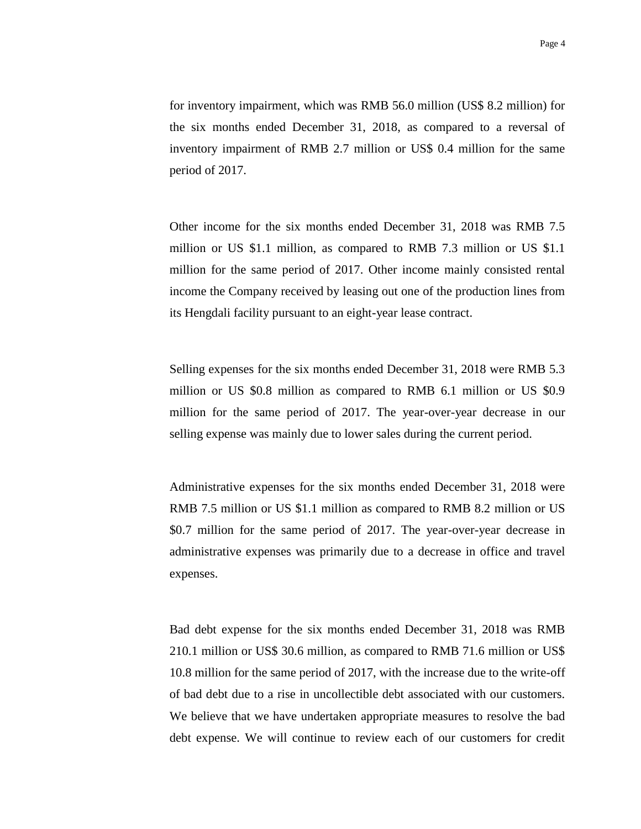for inventory impairment, which was RMB 56.0 million (US\$ 8.2 million) for the six months ended December 31, 2018, as compared to a reversal of inventory impairment of RMB 2.7 million or US\$ 0.4 million for the same period of 2017.

Other income for the six months ended December 31, 2018 was RMB 7.5 million or US \$1.1 million, as compared to RMB 7.3 million or US \$1.1 million for the same period of 2017. Other income mainly consisted rental income the Company received by leasing out one of the production lines from its Hengdali facility pursuant to an eight-year lease contract.

Selling expenses for the six months ended December 31, 2018 were RMB 5.3 million or US \$0.8 million as compared to RMB 6.1 million or US \$0.9 million for the same period of 2017. The year-over-year decrease in our selling expense was mainly due to lower sales during the current period.

Administrative expenses for the six months ended December 31, 2018 were RMB 7.5 million or US \$1.1 million as compared to RMB 8.2 million or US \$0.7 million for the same period of 2017. The year-over-year decrease in administrative expenses was primarily due to a decrease in office and travel expenses.

Bad debt expense for the six months ended December 31, 2018 was RMB 210.1 million or US\$ 30.6 million, as compared to RMB 71.6 million or US\$ 10.8 million for the same period of 2017, with the increase due to the write-off of bad debt due to a rise in uncollectible debt associated with our customers. We believe that we have undertaken appropriate measures to resolve the bad debt expense. We will continue to review each of our customers for credit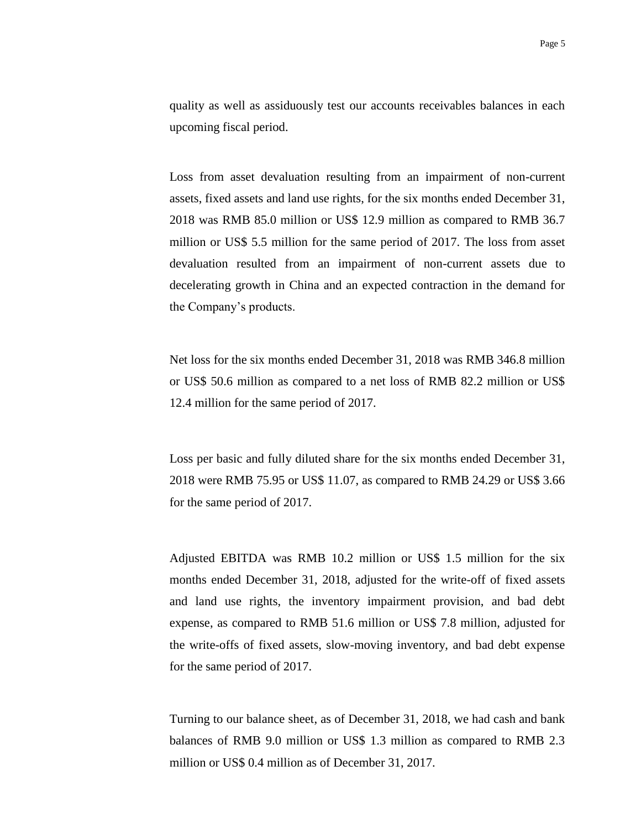quality as well as assiduously test our accounts receivables balances in each upcoming fiscal period.

Loss from asset devaluation resulting from an impairment of non-current assets, fixed assets and land use rights, for the six months ended December 31, 2018 was RMB 85.0 million or US\$ 12.9 million as compared to RMB 36.7 million or US\$ 5.5 million for the same period of 2017. The loss from asset devaluation resulted from an impairment of non-current assets due to decelerating growth in China and an expected contraction in the demand for the Company's products.

Net loss for the six months ended December 31, 2018 was RMB 346.8 million or US\$ 50.6 million as compared to a net loss of RMB 82.2 million or US\$ 12.4 million for the same period of 2017.

Loss per basic and fully diluted share for the six months ended December 31, 2018 were RMB 75.95 or US\$ 11.07, as compared to RMB 24.29 or US\$ 3.66 for the same period of 2017.

Adjusted EBITDA was RMB 10.2 million or US\$ 1.5 million for the six months ended December 31, 2018, adjusted for the write-off of fixed assets and land use rights, the inventory impairment provision, and bad debt expense, as compared to RMB 51.6 million or US\$ 7.8 million, adjusted for the write-offs of fixed assets, slow-moving inventory, and bad debt expense for the same period of 2017.

Turning to our balance sheet, as of December 31, 2018, we had cash and bank balances of RMB 9.0 million or US\$ 1.3 million as compared to RMB 2.3 million or US\$ 0.4 million as of December 31, 2017.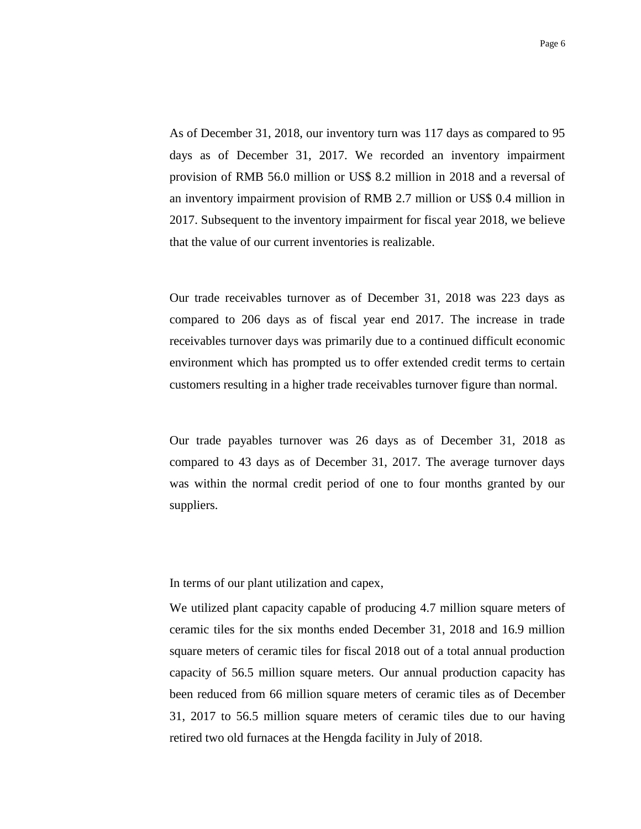As of December 31, 2018, our inventory turn was 117 days as compared to 95 days as of December 31, 2017. We recorded an inventory impairment provision of RMB 56.0 million or US\$ 8.2 million in 2018 and a reversal of an inventory impairment provision of RMB 2.7 million or US\$ 0.4 million in 2017. Subsequent to the inventory impairment for fiscal year 2018, we believe that the value of our current inventories is realizable.

Our trade receivables turnover as of December 31, 2018 was 223 days as compared to 206 days as of fiscal year end 2017. The increase in trade receivables turnover days was primarily due to a continued difficult economic environment which has prompted us to offer extended credit terms to certain customers resulting in a higher trade receivables turnover figure than normal.

Our trade payables turnover was 26 days as of December 31, 2018 as compared to 43 days as of December 31, 2017. The average turnover days was within the normal credit period of one to four months granted by our suppliers.

In terms of our plant utilization and capex,

We utilized plant capacity capable of producing 4.7 million square meters of ceramic tiles for the six months ended December 31, 2018 and 16.9 million square meters of ceramic tiles for fiscal 2018 out of a total annual production capacity of 56.5 million square meters. Our annual production capacity has been reduced from 66 million square meters of ceramic tiles as of December 31, 2017 to 56.5 million square meters of ceramic tiles due to our having retired two old furnaces at the Hengda facility in July of 2018.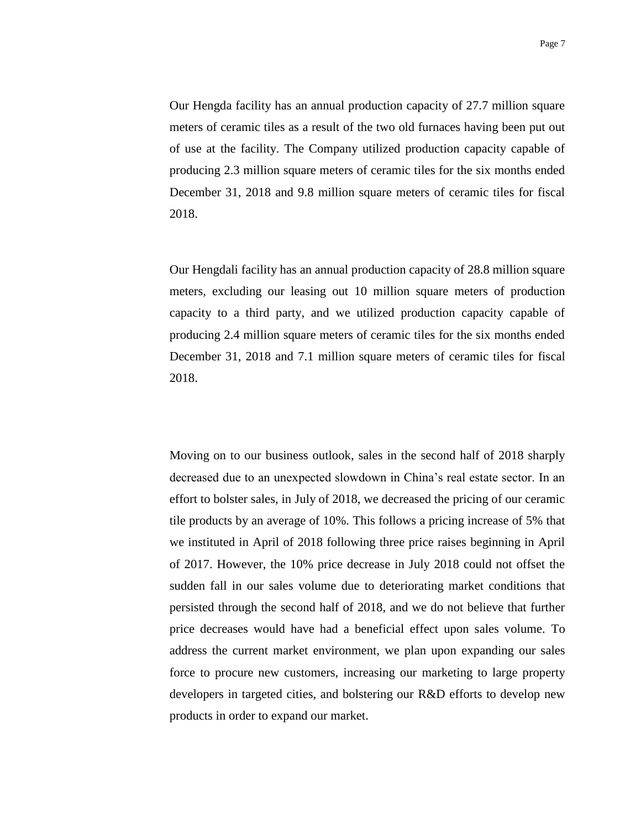Our Hengda facility has an annual production capacity of 27.7 million square meters of ceramic tiles as a result of the two old furnaces having been put out of use at the facility. The Company utilized production capacity capable of producing 2.3 million square meters of ceramic tiles for the six months ended December 31, 2018 and 9.8 million square meters of ceramic tiles for fiscal 2018.

Our Hengdali facility has an annual production capacity of 28.8 million square meters, excluding our leasing out 10 million square meters of production capacity to a third party, and we utilized production capacity capable of producing 2.4 million square meters of ceramic tiles for the six months ended December 31, 2018 and 7.1 million square meters of ceramic tiles for fiscal 2018.

Moving on to our business outlook, sales in the second half of 2018 sharply decreased due to an unexpected slowdown in China's real estate sector. In an effort to bolster sales, in July of 2018, we decreased the pricing of our ceramic tile products by an average of 10%. This follows a pricing increase of 5% that we instituted in April of 2018 following three price raises beginning in April of 2017. However, the 10% price decrease in July 2018 could not offset the sudden fall in our sales volume due to deteriorating market conditions that persisted through the second half of 2018, and we do not believe that further price decreases would have had a beneficial effect upon sales volume. To address the current market environment, we plan upon expanding our sales force to procure new customers, increasing our marketing to large property developers in targeted cities, and bolstering our R&D efforts to develop new products in order to expand our market.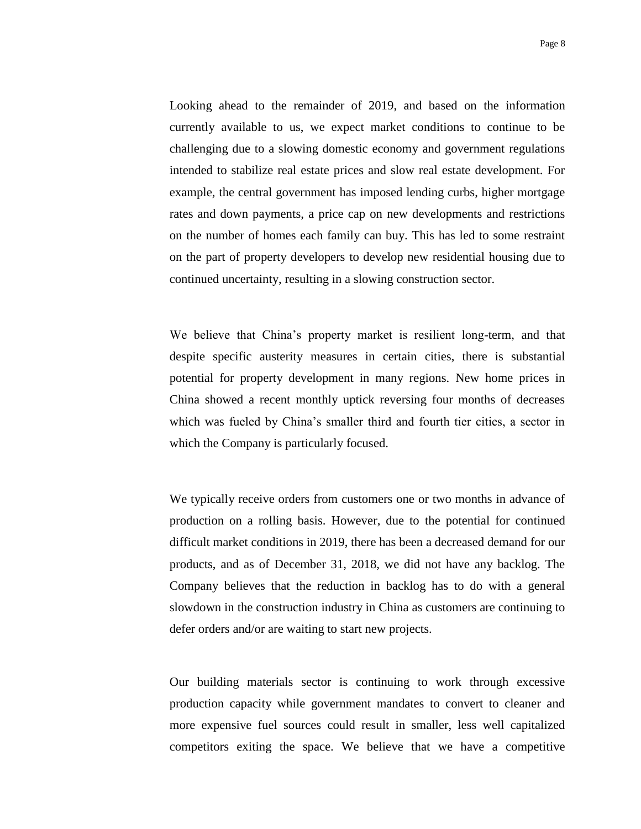Looking ahead to the remainder of 2019, and based on the information currently available to us, we expect market conditions to continue to be challenging due to a slowing domestic economy and government regulations intended to stabilize real estate prices and slow real estate development. For example, the central government has imposed lending curbs, higher mortgage rates and down payments, a price cap on new developments and restrictions on the number of homes each family can buy. This has led to some restraint on the part of property developers to develop new residential housing due to continued uncertainty, resulting in a slowing construction sector.

We believe that China's property market is resilient long-term, and that despite specific austerity measures in certain cities, there is substantial potential for property development in many regions. New home prices in China showed a recent monthly uptick reversing four months of decreases which was fueled by China's smaller third and fourth tier cities, a sector in which the Company is particularly focused.

We typically receive orders from customers one or two months in advance of production on a rolling basis. However, due to the potential for continued difficult market conditions in 2019, there has been a decreased demand for our products, and as of December 31, 2018, we did not have any backlog. The Company believes that the reduction in backlog has to do with a general slowdown in the construction industry in China as customers are continuing to defer orders and/or are waiting to start new projects.

Our building materials sector is continuing to work through excessive production capacity while government mandates to convert to cleaner and more expensive fuel sources could result in smaller, less well capitalized competitors exiting the space. We believe that we have a competitive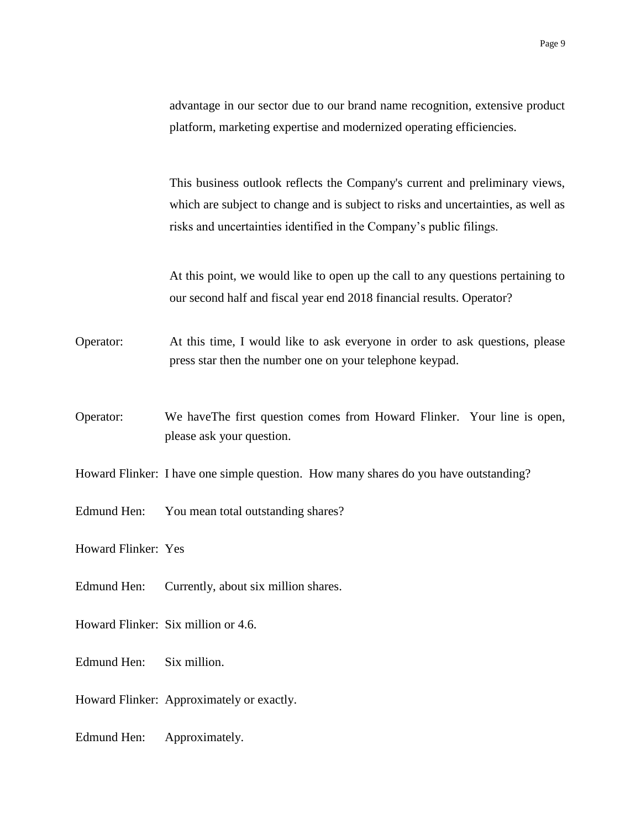advantage in our sector due to our brand name recognition, extensive product platform, marketing expertise and modernized operating efficiencies.

This business outlook reflects the Company's current and preliminary views, which are subject to change and is subject to risks and uncertainties, as well as risks and uncertainties identified in the Company's public filings.

At this point, we would like to open up the call to any questions pertaining to our second half and fiscal year end 2018 financial results. Operator?

Operator: At this time, I would like to ask everyone in order to ask questions, please press star then the number one on your telephone keypad.

Operator: We haveThe first question comes from Howard Flinker. Your line is open, please ask your question.

Howard Flinker: I have one simple question. How many shares do you have outstanding?

Edmund Hen: You mean total outstanding shares?

Howard Flinker: Yes

- Edmund Hen: Currently, about six million shares.
- Howard Flinker: Six million or 4.6.
- Edmund Hen: Six million.
- Howard Flinker: Approximately or exactly.
- Edmund Hen: Approximately.